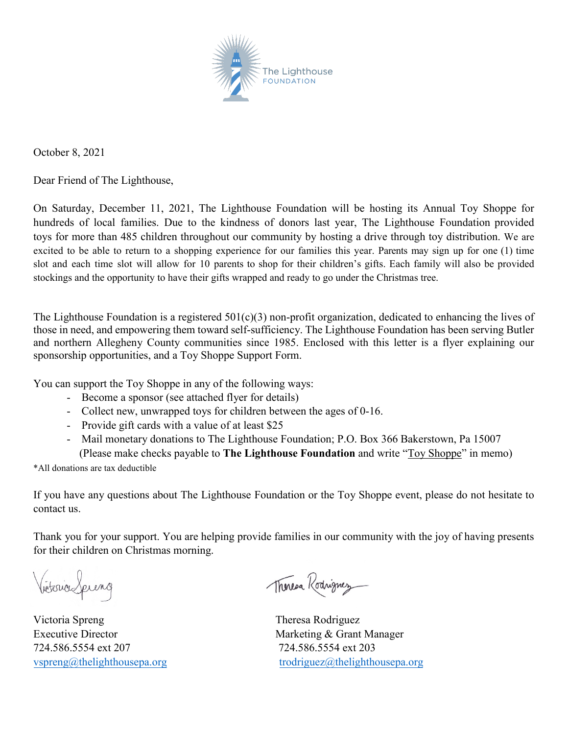

October 8, 2021

Dear Friend of The Lighthouse,

On Saturday, December 11, 2021, The Lighthouse Foundation will be hosting its Annual Toy Shoppe for hundreds of local families. Due to the kindness of donors last year, The Lighthouse Foundation provided toys for more than 485 children throughout our community by hosting a drive through toy distribution. We are excited to be able to return to a shopping experience for our families this year. Parents may sign up for one (1) time slot and each time slot will allow for 10 parents to shop for their children's gifts. Each family will also be provided stockings and the opportunity to have their gifts wrapped and ready to go under the Christmas tree.

The Lighthouse Foundation is a registered 501(c)(3) non-profit organization, dedicated to enhancing the lives of those in need, and empowering them toward self-sufficiency. The Lighthouse Foundation has been serving Butler and northern Allegheny County communities since 1985. Enclosed with this letter is a flyer explaining our sponsorship opportunities, and a Toy Shoppe Support Form.

You can support the Toy Shoppe in any of the following ways:

- Become a sponsor (see attached flyer for details)
- Collect new, unwrapped toys for children between the ages of 0-16.
- Provide gift cards with a value of at least \$25
- Mail monetary donations to The Lighthouse Foundation; P.O. Box 366 Bakerstown, Pa 15007 (Please make checks payable to **The Lighthouse Foundation** and write "Toy Shoppe" in memo)

\*All donations are tax deductible

If you have any questions about The Lighthouse Foundation or the Toy Shoppe event, please do not hesitate to contact us.

Thank you for your support. You are helping provide families in our community with the joy of having presents for their children on Christmas morning.

Victoria Spreng

Victoria Spreng Executive Director 724.586.5554 ext 207 [vspreng@thelighthouse](mailto:vspreng@thelighthousefoundation.com)pa.org

Therea Rodrignez

 Theresa Rodriguez Marketing & Grant Manager 724.586.5554 ext 203 [trodriguez@thelighthouse](mailto:trodriguez@thelighthousefoundation.com)pa.org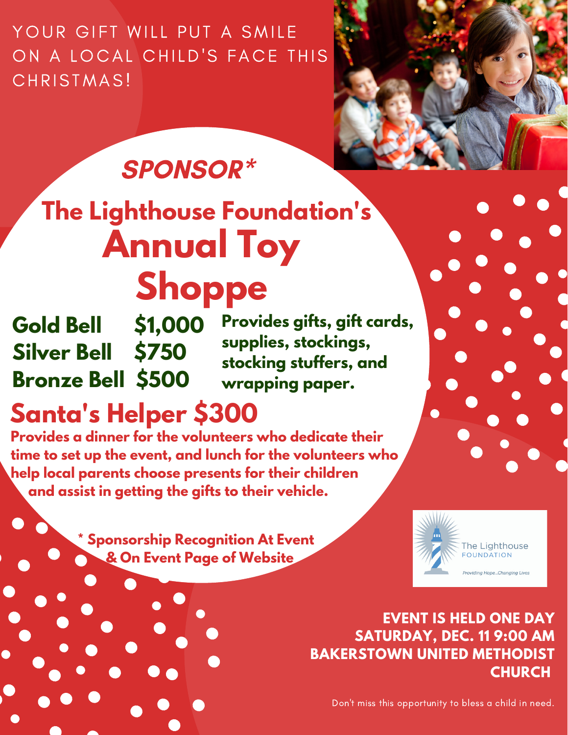YOUR GIFT WILL PUT A SMILE ON A LOCAL CHILD'S FACE THIS CHRISTMAS!



## SPONSOR\*

## **Annual Toy Shoppe The Lighthouse Foundation's**

**Gold Bell \$1,000 Silver Bell \$750 Bronze Bell \$500** 

**Provides gifts, gift cards, supplies, stockings, stocking stuffers, and wrapping paper.**

## **Santa's Helper \$300**

**Provides a dinner for the volunteers who dedicate their time to set up the event, and lunch for the volunteers who help local parents choose presents for their children and assist in getting the gifts to their vehicle.**

> **\* Sponsorship Recognition At Event & On Event Page of Website**



**EVENT IS HELD ONE DAY SATURDAY, DEC. 11 9:00 AM BAKERSTOWN UNITED METHODIST CHURCH**

Don't miss this opportunity to bless a child in need.